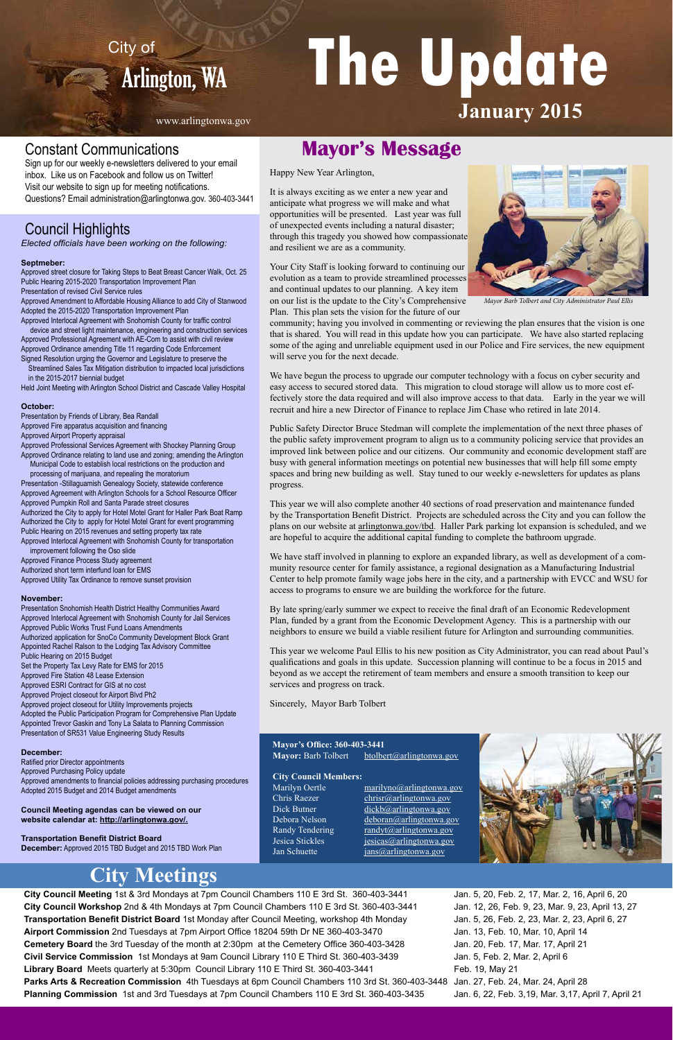City of The Update **January 2015**

**City Council Meeting** 1st & 3rd Mondays at 7pm Council Chambers 110 E 3rd St. 360-403-3441 **City Council Workshop** 2nd & 4th Mondays at 7pm Council Chambers 110 E 3rd St. 360-403-3441 **Transportation Benefit District Board** 1st Monday after Council Meeting, workshop 4th Monday **Airport Commission** 2nd Tuesdays at 7pm Airport Office 18204 59th Dr NE 360-403-3470 **Cemetery Board** the 3rd Tuesday of the month at 2:30pm at the Cemetery Office 360-403-3428 **Civil Service Commission** 1st Mondays at 9am Council Library 110 E Third St. 360-403-3439 **Library Board** Meets quarterly at 5:30pm Council Library 110 E Third St. 360-403-3441 **Parks Arts & Recreation Commission** 4th Tuesdays at 6pm Council Chambers 110 3rd St. 360-403-3448 Jan. 27, Feb. 24, Mar. 24, April 28 **Planning Commission** 1st and 3rd Tuesdays at 7pm Council Chambers 110 E 3rd St. 360-403-3435

## Council Highlights

*Elected officials have been working on the following:*

#### **Septmeber:**

Approved street closure for Taking Steps to Beat Breast Cancer Walk, Oct. 25 Public Hearing 2015-2020 Transportation Improvement Plan Presentation of revised Civil Service rules

Approved Amendment to Affordable Housing Alliance to add City of Stanwood Adopted the 2015-2020 Transportation Improvement Plan

Approved Interlocal Agreement with Snohomish County for traffic control device and street light maintenance, engineering and construction services Approved Professional Agreement with AE-Com to assist with civil review Approved Ordinance amending Title 11 regarding Code Enforcement

Signed Resolution urging the Governor and Legislature to preserve the Streamlined Sales Tax Mitigation distribution to impacted local jurisdictions in the 2015-2017 biennial budget

Held Joint Meeting with Arlington School District and Cascade Valley Hospital

#### **October:**

Presentation by Friends of Library, Bea Randall

Approved Fire apparatus acquisition and financing

Approved Airport Property appraisal

Approved Professional Services Agreement with Shockey Planning Group Approved Ordinance relating to land use and zoning; amending the Arlington

 Municipal Code to establish local restrictions on the production and processing of marijuana, and repealing the moratorium Presentation -Stillaguamish Genealogy Society, statewide conference Approved Agreement with Arlington Schools for a School Resource Officer Approved Pumpkin Roll and Santa Parade street closures Authorized the City to apply for Hotel Motel Grant for Haller Park Boat Ramp Authorized the City to apply for Hotel Motel Grant for event programming Public Hearing on 2015 revenues and setting property tax rate Approved Interlocal Agreement with Snohomish County for transportation

 improvement following the Oso slide Approved Finance Process Study agreement Authorized short term interfund loan for EMS Approved Utility Tax Ordinance to remove sunset provision

#### **November:**

Presentation Snohomish Health District Healthy Communities Award Approved Interlocal Agreement with Snohomish County for Jail Services Approved Public Works Trust Fund Loans Amendments Authorized application for SnoCo Community Development Block Grant Appointed Rachel Ralson to the Lodging Tax Advisory Committee Public Hearing on 2015 Budget Set the Property Tax Levy Rate for EMS for 2015 Approved Fire Station 48 Lease Extension Approved ESRI Contract for GIS at no cost Approved Project closeout for Airport Blvd Ph2 Approved project closeout for Utility Improvements projects Adopted the Public Participation Program for Comprehensive Plan Update Appointed Trevor Gaskin and Tony La Salata to Planning Commission Presentation of SR531 Value Engineering Study Results

#### **December:**

Ratified prior Director appointments Approved Purchasing Policy update Approved amendments to financial policies addressing purchasing procedures Adopted 2015 Budget and 2014 Budget amendments

**Council Meeting agendas can be viewed on our website calendar at: http://arlingtonwa.gov/.**

**Transportation Benefit District Board December:** Approved 2015 TBD Budget and 2015 TBD Work Plan

Dick Butner dickb@arlingtonwa.gov Debora Nelson deboran@arlingtonwa.gov Randy Tendering randyt@arlingtonwa.gov Jesica Stickles jesicas@arlingtonwa.gov Jan Schuette *jans@arlingtonwa.gov* 

> Jan. 5, 20, Feb. 2, 17, Mar. 2, 16, April 6, 20 Jan. 12, 26, Feb. 9, 23, Mar. 9, 23, April 13, 27 Jan. 5, 26, Feb. 2, 23, Mar. 2, 23, April 6, 27 Jan. 13, Feb. 10, Mar. 10, April 14 Jan. 20, Feb. 17, Mar. 17, April 21 Jan. 5, Feb. 2, Mar. 2, April 6 Feb. 19, May 21 Jan. 6, 22, Feb. 3,19, Mar. 3,17, April 7, April 21

## **City Meetings**

**Mayor's Office: 360-403-3441**

Mayor: Barb Tolbert btolbert@arlingtonwa.gov

#### **City Council Members:**

 $Chris$  Raezer chrisr@arlingtongledge characters  $Chris$ 

Marilyn Oertle marilyno@arlingtonwa.gov



www.arlingtonwa.gov

Happy New Year Arlington,

It is always exciting as we enter a new year and anticipate what progress we will make and what opportunities will be presented. Last year was full of unexpected events including a natural disaster; through this tragedy you showed how compassionate and resilient we are as a community.

Your City Staff is looking forward to continuing our evolution as a team to provide streamlined processes and continual updates to our planning. A key item on our list is the update to the City's Comprehensive Plan. This plan sets the vision for the future of our

community; having you involved in commenting or reviewing the plan ensures that the vision is one that is shared. You will read in this update how you can participate. We have also started replacing some of the aging and unreliable equipment used in our Police and Fire services, the new equipment will serve you for the next decade.

We have begun the process to upgrade our computer technology with a focus on cyber security and easy access to secured stored data. This migration to cloud storage will allow us to more cost effectively store the data required and will also improve access to that data. Early in the year we will recruit and hire a new Director of Finance to replace Jim Chase who retired in late 2014.

Public Safety Director Bruce Stedman will complete the implementation of the next three phases of the public safety improvement program to align us to a community policing service that provides an improved link between police and our citizens. Our community and economic development staff are busy with general information meetings on potential new businesses that will help fill some empty spaces and bring new building as well. Stay tuned to our weekly e-newsletters for updates as plans progress.

This year we will also complete another 40 sections of road preservation and maintenance funded by the Transportation Benefit District. Projects are scheduled across the City and you can follow the plans on our website at arlingtonwa.gov/tbd. Haller Park parking lot expansion is scheduled, and we are hopeful to acquire the additional capital funding to complete the bathroom upgrade.

We have staff involved in planning to explore an expanded library, as well as development of a community resource center for family assistance, a regional designation as a Manufacturing Industrial Center to help promote family wage jobs here in the city, and a partnership with EVCC and WSU for access to programs to ensure we are building the workforce for the future.

By late spring/early summer we expect to receive the final draft of an Economic Redevelopment Plan, funded by a grant from the Economic Development Agency. This is a partnership with our neighbors to ensure we build a viable resilient future for Arlington and surrounding communities.

This year we welcome Paul Ellis to his new position as City Administrator, you can read about Paul's qualifications and goals in this update. Succession planning will continue to be a focus in 2015 and beyond as we accept the retirement of team members and ensure a smooth transition to keep our services and progress on track.

Sincerely, Mayor Barb Tolbert

## **Mayor's Message**



*Mayor Barb Tolbert and City Administrator Paul Ellis*

## Constant Communications

Sign up for our weekly e-newsletters delivered to your email inbox. Like us on Facebook and follow us on Twitter! Visit our website to sign up for meeting notifications. Questions? Email administration@arlingtonwa.gov. 360-403-3441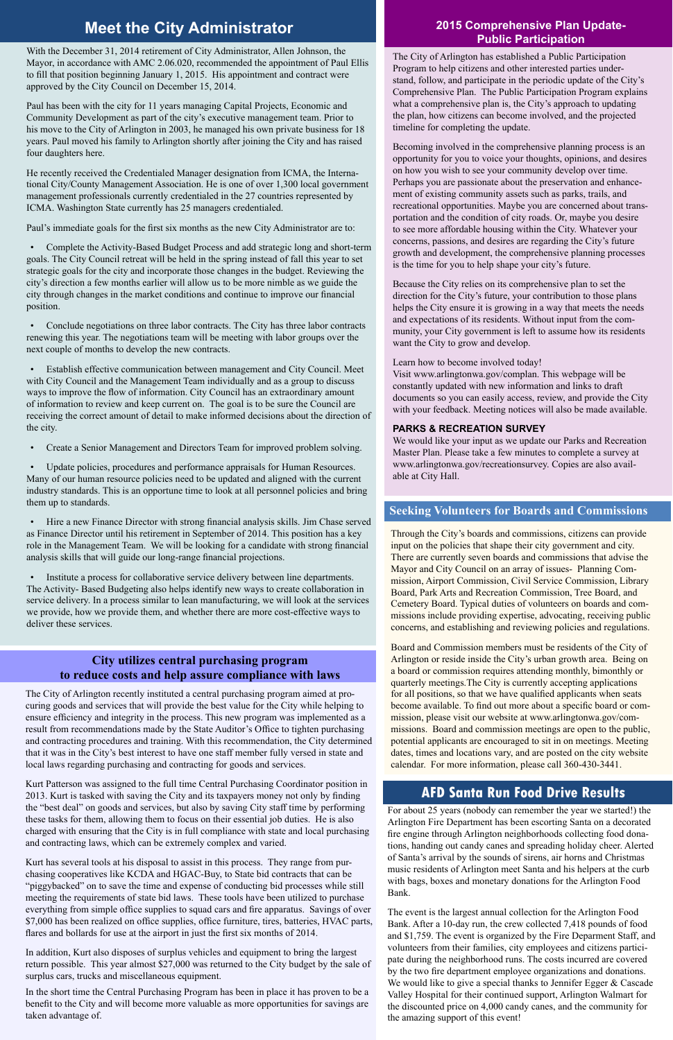### **Seeking Volunteers for Boards and Commissions**

## **Meet the City Administrator**

For about 25 years (nobody can remember the year we started!) the Arlington Fire Department has been escorting Santa on a decorated fire engine through Arlington neighborhoods collecting food donations, handing out candy canes and spreading holiday cheer. Alerted of Santa's arrival by the sounds of sirens, air horns and Christmas music residents of Arlington meet Santa and his helpers at the curb with bags, boxes and monetary donations for the Arlington Food Bank.

The event is the largest annual collection for the Arlington Food Bank. After a 10-day run, the crew collected 7,418 pounds of food and \$1,759. The event is organized by the Fire Deparment Staff, and volunteers from their families, city employees and citizens participate during the neighborhood runs. The costs incurred are covered by the two fire department employee organizations and donations. We would like to give a special thanks to Jennifer Egger & Cascade Valley Hospital for their continued support, Arlington Walmart for the discounted price on 4,000 candy canes, and the community for the amazing support of this event!

Through the City's boards and commissions, citizens can provide input on the policies that shape their city government and city. There are currently seven boards and commissions that advise the Mayor and City Council on an array of issues- Planning Commission, Airport Commission, Civil Service Commission, Library Board, Park Arts and Recreation Commission, Tree Board, and Cemetery Board. Typical duties of volunteers on boards and commissions include providing expertise, advocating, receiving public concerns, and establishing and reviewing policies and regulations.

Board and Commission members must be residents of the City of Arlington or reside inside the City's urban growth area. Being on a board or commission requires attending monthly, bimonthly or quarterly meetings.The City is currently accepting applications for all positions, so that we have qualified applicants when seats become available. To find out more about a specific board or commission, please visit our website at www.arlingtonwa.gov/commissions. Board and commission meetings are open to the public, potential applicants are encouraged to sit in on meetings. Meeting dates, times and locations vary, and are posted on the city website calendar. For more information, please call 360-430-3441.

### **AFD Santa Run Food Drive Results**

The City of Arlington recently instituted a central purchasing program aimed at procuring goods and services that will provide the best value for the City while helping to ensure efficiency and integrity in the process. This new program was implemented as a result from recommendations made by the State Auditor's Office to tighten purchasing and contracting procedures and training. With this recommendation, the City determined that it was in the City's best interest to have one staff member fully versed in state and local laws regarding purchasing and contracting for goods and services.

Kurt Patterson was assigned to the full time Central Purchasing Coordinator position in 2013. Kurt is tasked with saving the City and its taxpayers money not only by finding

the "best deal" on goods and services, but also by saving City staff time by performing these tasks for them, allowing them to focus on their essential job duties. He is also charged with ensuring that the City is in full compliance with state and local purchasing and contracting laws, which can be extremely complex and varied.

Kurt has several tools at his disposal to assist in this process. They range from purchasing cooperatives like KCDA and HGAC-Buy, to State bid contracts that can be "piggybacked" on to save the time and expense of conducting bid processes while still meeting the requirements of state bid laws. These tools have been utilized to purchase everything from simple office supplies to squad cars and fire apparatus. Savings of over \$7,000 has been realized on office supplies, office furniture, tires, batteries, HVAC parts, flares and bollards for use at the airport in just the first six months of 2014.

In addition, Kurt also disposes of surplus vehicles and equipment to bring the largest return possible. This year almost \$27,000 was returned to the City budget by the sale of surplus cars, trucks and miscellaneous equipment.

In the short time the Central Purchasing Program has been in place it has proven to be a benefit to the City and will become more valuable as more opportunities for savings are taken advantage of.

#### **City utilizes central purchasing program to reduce costs and help assure compliance with laws**

With the December 31, 2014 retirement of City Administrator, Allen Johnson, the Mayor, in accordance with AMC 2.06.020, recommended the appointment of Paul Ellis to fill that position beginning January 1, 2015. His appointment and contract were approved by the City Council on December 15, 2014.

Paul has been with the city for 11 years managing Capital Projects, Economic and Community Development as part of the city's executive management team. Prior to his move to the City of Arlington in 2003, he managed his own private business for 18 years. Paul moved his family to Arlington shortly after joining the City and has raised four daughters here.

He recently received the Credentialed Manager designation from ICMA, the International City/County Management Association. He is one of over 1,300 local government management professionals currently credentialed in the 27 countries represented by ICMA. Washington State currently has 25 managers credentialed.

Paul's immediate goals for the first six months as the new City Administrator are to:

• Complete the Activity-Based Budget Process and add strategic long and short-term goals. The City Council retreat will be held in the spring instead of fall this year to set strategic goals for the city and incorporate those changes in the budget. Reviewing the city's direction a few months earlier will allow us to be more nimble as we guide the city through changes in the market conditions and continue to improve our financial position.

• Conclude negotiations on three labor contracts. The City has three labor contracts renewing this year. The negotiations team will be meeting with labor groups over the next couple of months to develop the new contracts.

• Establish effective communication between management and City Council. Meet with City Council and the Management Team individually and as a group to discuss ways to improve the flow of information. City Council has an extraordinary amount of information to review and keep current on. The goal is to be sure the Council are receiving the correct amount of detail to make informed decisions about the direction of the city.

• Create a Senior Management and Directors Team for improved problem solving.

• Update policies, procedures and performance appraisals for Human Resources. Many of our human resource policies need to be updated and aligned with the current industry standards. This is an opportune time to look at all personnel policies and bring them up to standards.

• Hire a new Finance Director with strong financial analysis skills. Jim Chase served as Finance Director until his retirement in September of 2014. This position has a key role in the Management Team. We will be looking for a candidate with strong financial analysis skills that will guide our long-range financial projections.

• Institute a process for collaborative service delivery between line departments. The Activity- Based Budgeting also helps identify new ways to create collaboration in service delivery. In a process similar to lean manufacturing, we will look at the services we provide, how we provide them, and whether there are more cost-effective ways to deliver these services.

The City of Arlington has established a Public Participation Program to help citizens and other interested parties understand, follow, and participate in the periodic update of the City's Comprehensive Plan. The Public Participation Program explains what a comprehensive plan is, the City's approach to updating the plan, how citizens can become involved, and the projected timeline for completing the update.

Becoming involved in the comprehensive planning process is an opportunity for you to voice your thoughts, opinions, and desires on how you wish to see your community develop over time. Perhaps you are passionate about the preservation and enhancement of existing community assets such as parks, trails, and recreational opportunities. Maybe you are concerned about transportation and the condition of city roads. Or, maybe you desire to see more affordable housing within the City. Whatever your concerns, passions, and desires are regarding the City's future growth and development, the comprehensive planning processes is the time for you to help shape your city's future.

Because the City relies on its comprehensive plan to set the direction for the City's future, your contribution to those plans helps the City ensure it is growing in a way that meets the needs and expectations of its residents. Without input from the community, your City government is left to assume how its residents want the City to grow and develop.

Learn how to become involved today!

Visit www.arlingtonwa.gov/complan. This webpage will be constantly updated with new information and links to draft documents so you can easily access, review, and provide the City with your feedback. Meeting notices will also be made available.

#### **PARKS & RECREATION SURVEY**

We would like your input as we update our Parks and Recreation Master Plan. Please take a few minutes to complete a survey at www.arlingtonwa.gov/recreationsurvey. Copies are also available at City Hall.

#### **2015 Comprehensive Plan Update-Public Participation**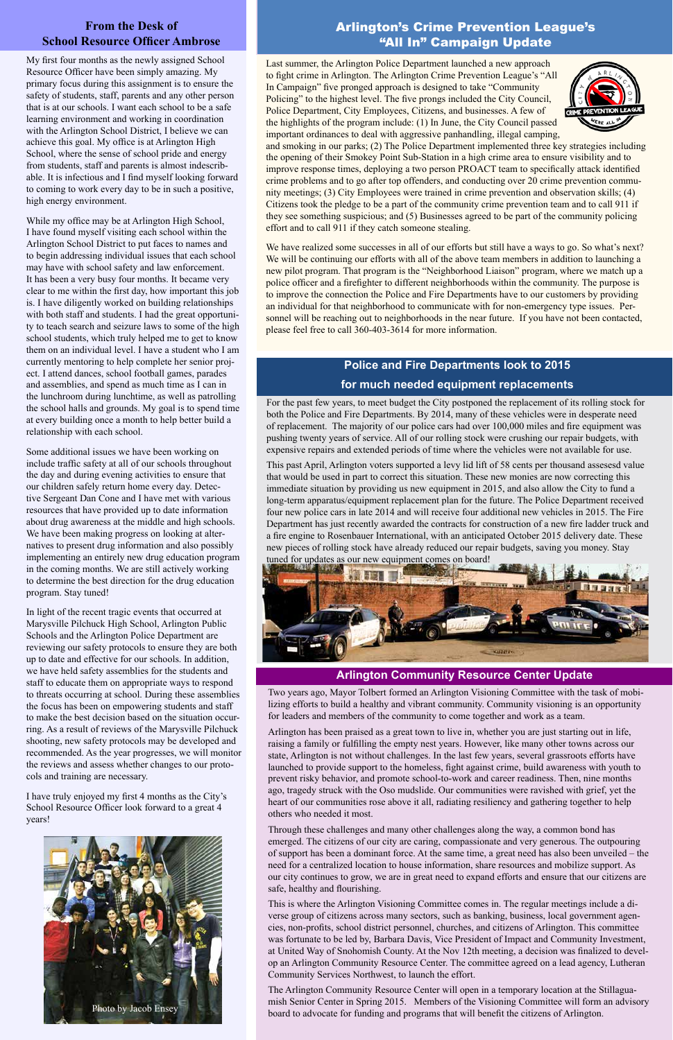Last summer, the Arlington Police Department launched a new approach to fight crime in Arlington. The Arlington Crime Prevention League's "All In Campaign" five pronged approach is designed to take "Community Policing" to the highest level. The five prongs included the City Council, Police Department, City Employees, Citizens, and businesses. A few of the highlights of the program include: (1) In June, the City Council passed important ordinances to deal with aggressive panhandling, illegal camping,



and smoking in our parks; (2) The Police Department implemented three key strategies including the opening of their Smokey Point Sub-Station in a high crime area to ensure visibility and to improve response times, deploying a two person PROACT team to specifically attack identified crime problems and to go after top offenders, and conducting over 20 crime prevention community meetings; (3) City Employees were trained in crime prevention and observation skills; (4) Citizens took the pledge to be a part of the community crime prevention team and to call 911 if they see something suspicious; and (5) Businesses agreed to be part of the community policing effort and to call 911 if they catch someone stealing.

We have realized some successes in all of our efforts but still have a ways to go. So what's next? We will be continuing our efforts with all of the above team members in addition to launching a new pilot program. That program is the "Neighborhood Liaison" program, where we match up a police officer and a firefighter to different neighborhoods within the community. The purpose is to improve the connection the Police and Fire Departments have to our customers by providing an individual for that neighborhood to communicate with for non-emergency type issues. Personnel will be reaching out to neighborhoods in the near future. If you have not been contacted, please feel free to call 360-403-3614 for more information.

#### **From the Desk of School Resource Officer Ambrose**

### **Police and Fire Departments look to 2015 for much needed equipment replacements**

#### Arlington's Crime Prevention League's "All In" Campaign Update

For the past few years, to meet budget the City postponed the replacement of its rolling stock for both the Police and Fire Departments. By 2014, many of these vehicles were in desperate need of replacement. The majority of our police cars had over 100,000 miles and fire equipment was pushing twenty years of service. All of our rolling stock were crushing our repair budgets, with expensive repairs and extended periods of time where the vehicles were not available for use.

This past April, Arlington voters supported a levy lid lift of 58 cents per thousand assesesd value that would be used in part to correct this situation. These new monies are now correcting this immediate situation by providing us new equipment in 2015, and also allow the City to fund a long-term apparatus/equipment replacement plan for the future. The Police Department received four new police cars in late 2014 and will receive four additional new vehicles in 2015. The Fire Department has just recently awarded the contracts for construction of a new fire ladder truck and a fire engine to Rosenbauer International, with an anticipated October 2015 delivery date. These new pieces of rolling stock have already reduced our repair budgets, saving you money. Stay tuned for updates as our new equipment comes on board!



My first four months as the newly assigned School Resource Officer have been simply amazing. My primary focus during this assignment is to ensure the safety of students, staff, parents and any other person that is at our schools. I want each school to be a safe learning environment and working in coordination with the Arlington School District, I believe we can achieve this goal. My office is at Arlington High School, where the sense of school pride and energy from students, staff and parents is almost indescribable. It is infectious and I find myself looking forward to coming to work every day to be in such a positive, high energy environment.

While my office may be at Arlington High School, I have found myself visiting each school within the Arlington School District to put faces to names and to begin addressing individual issues that each school may have with school safety and law enforcement. It has been a very busy four months. It became very clear to me within the first day, how important this job is. I have diligently worked on building relationships with both staff and students. I had the great opportunity to teach search and seizure laws to some of the high school students, which truly helped me to get to know them on an individual level. I have a student who I am currently mentoring to help complete her senior project. I attend dances, school football games, parades and assemblies, and spend as much time as I can in the lunchroom during lunchtime, as well as patrolling the school halls and grounds. My goal is to spend time at every building once a month to help better build a relationship with each school.

Some additional issues we have been working on include traffic safety at all of our schools throughout the day and during evening activities to ensure that our children safely return home every day. Detective Sergeant Dan Cone and I have met with various resources that have provided up to date information about drug awareness at the middle and high schools. We have been making progress on looking at alternatives to present drug information and also possibly implementing an entirely new drug education program in the coming months. We are still actively working to determine the best direction for the drug education program. Stay tuned!

In light of the recent tragic events that occurred at Marysville Pilchuck High School, Arlington Public Schools and the Arlington Police Department are reviewing our safety protocols to ensure they are both up to date and effective for our schools. In addition, we have held safety assemblies for the students and staff to educate them on appropriate ways to respond to threats occurring at school. During these assemblies the focus has been on empowering students and staff to make the best decision based on the situation occurring. As a result of reviews of the Marysville Pilchuck shooting, new safety protocols may be developed and recommended. As the year progresses, we will monitor the reviews and assess whether changes to our protocols and training are necessary.

I have truly enjoyed my first 4 months as the City's

School Resource Officer look forward to a great 4 years!



Two years ago, Mayor Tolbert formed an Arlington Visioning Committee with the task of mobilizing efforts to build a healthy and vibrant community. Community visioning is an opportunity for leaders and members of the community to come together and work as a team.

Arlington has been praised as a great town to live in, whether you are just starting out in life, raising a family or fulfilling the empty nest years. However, like many other towns across our state, Arlington is not without challenges. In the last few years, several grassroots efforts have launched to provide support to the homeless, fight against crime, build awareness with youth to prevent risky behavior, and promote school-to-work and career readiness. Then, nine months ago, tragedy struck with the Oso mudslide. Our communities were ravished with grief, yet the heart of our communities rose above it all, radiating resiliency and gathering together to help others who needed it most.

Through these challenges and many other challenges along the way, a common bond has emerged. The citizens of our city are caring, compassionate and very generous. The outpouring of support has been a dominant force. At the same time, a great need has also been unveiled – the need for a centralized location to house information, share resources and mobilize support. As our city continues to grow, we are in great need to expand efforts and ensure that our citizens are safe, healthy and flourishing.

This is where the Arlington Visioning Committee comes in. The regular meetings include a diverse group of citizens across many sectors, such as banking, business, local government agencies, non-profits, school district personnel, churches, and citizens of Arlington. This committee was fortunate to be led by, Barbara Davis, Vice President of Impact and Community Investment, at United Way of Snohomish County. At the Nov 12th meeting, a decision was finalized to develop an Arlington Community Resource Center. The committee agreed on a lead agency, Lutheran Community Services Northwest, to launch the effort.

The Arlington Community Resource Center will open in a temporary location at the Stillaguamish Senior Center in Spring 2015. Members of the Visioning Committee will form an advisory board to advocate for funding and programs that will benefit the citizens of Arlington.

#### **Arlington Community Resource Center Update**